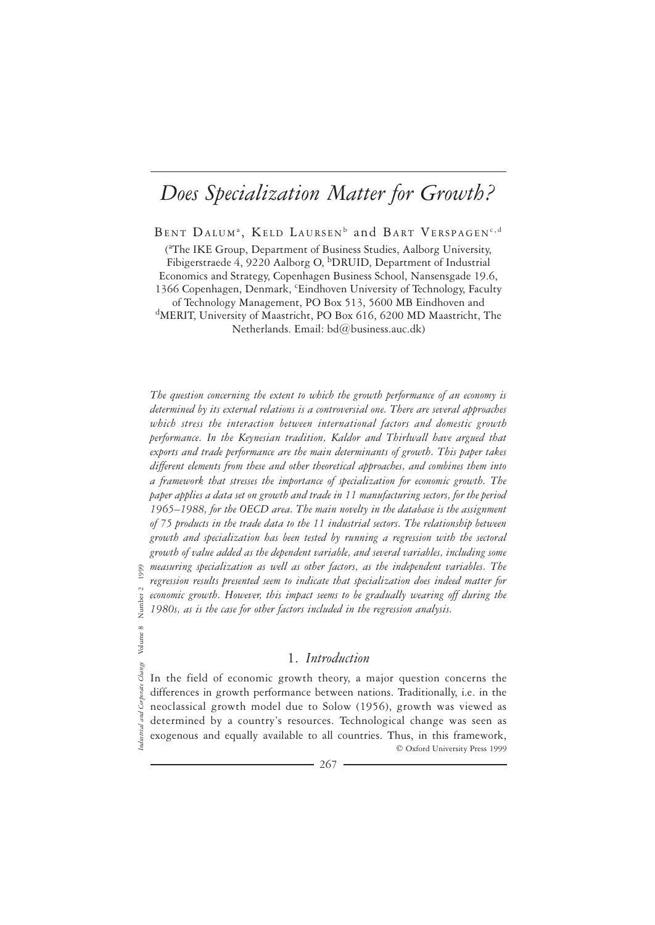BENT DALUM<sup>a</sup>, KELD LAURSEN<sup>b</sup> and BART VERSPAGEN<sup>c, d</sup>

( a The IKE Group, Department of Business Studies, Aalborg University, Fibigerstraede 4, 9220 Aalborg O,  $b$ DRUID, Department of Industrial Economics and Strategy, Copenhagen Business School, Nansensgade 19.6, 1366 Copenhagen, Denmark, 'Eindhoven University of Technology, Faculty of Technology Management, PO Box 513, 5600 MB Eindhoven and <sup>d</sup>MERIT, University of Maastricht, PO Box 616, 6200 MD Maastricht, The Netherlands. Email: bd@business.auc.dk)

*The question concerning the extent to which the growth performance of an economy is determined by its external relations is a controversial one. There are several approaches which stress the interaction between international factors and domestic growth performance. In the Keynesian tradition, Kaldor and Thirlwall have argued that exports and trade performance are the main determinants of growth. This paper takes different elements from these and other theoretical approaches, and combines them into a framework that stresses the importance of specialization for economic growth. The paper applies a data set on growth and trade in 11 manufacturing sectors, for the period 1965–1988, for the OECD area. The main novelty in the database is the assignment of 75 products in the trade data to the 11 industrial sectors. The relationship between growth and specialization has been tested by running a regression with the sectoral growth of value added as the dependent variable, and several variables, including some measuring specialization as well as other factors, as the independent variables. The regression results presented seem to indicate that specialization does indeed matter for economic growth. However, this impact seems to be gradually wearing off during the 1980s, as is the case for other factors included in the regression analysis.*

#### 1. *Introduction*

In the field of economic growth theory, a major question concerns the differences in growth performance between nations. Traditionally, i.e. in the neoclassical growth model due to Solow (1956), growth was viewed as determined by a country's resources. Technological change was seen as exogenous and equally available to all countries. Thus, in this framework, © Oxford University Press 1999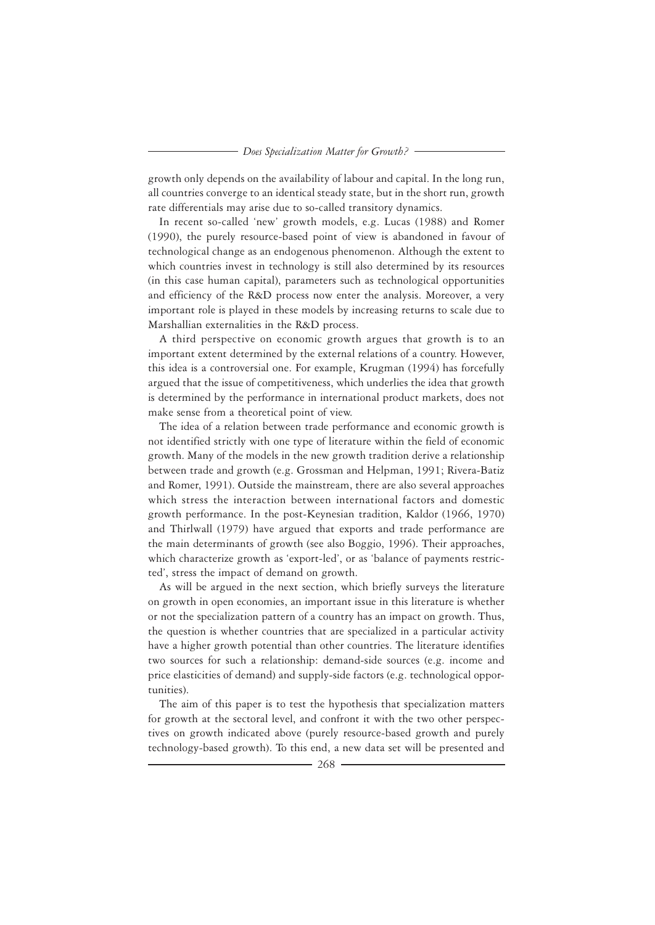growth only depends on the availability of labour and capital. In the long run, all countries converge to an identical steady state, but in the short run, growth rate differentials may arise due to so-called transitory dynamics.

In recent so-called 'new' growth models, e.g. Lucas (1988) and Romer (1990), the purely resource-based point of view is abandoned in favour of technological change as an endogenous phenomenon. Although the extent to which countries invest in technology is still also determined by its resources (in this case human capital), parameters such as technological opportunities and efficiency of the R&D process now enter the analysis. Moreover, a very important role is played in these models by increasing returns to scale due to Marshallian externalities in the R&D process.

A third perspective on economic growth argues that growth is to an important extent determined by the external relations of a country. However, this idea is a controversial one. For example, Krugman (1994) has forcefully argued that the issue of competitiveness, which underlies the idea that growth is determined by the performance in international product markets, does not make sense from a theoretical point of view.

The idea of a relation between trade performance and economic growth is not identified strictly with one type of literature within the field of economic growth. Many of the models in the new growth tradition derive a relationship between trade and growth (e.g. Grossman and Helpman, 1991; Rivera-Batiz and Romer, 1991). Outside the mainstream, there are also several approaches which stress the interaction between international factors and domestic growth performance. In the post-Keynesian tradition, Kaldor (1966, 1970) and Thirlwall (1979) have argued that exports and trade performance are the main determinants of growth (see also Boggio, 1996). Their approaches, which characterize growth as 'export-led', or as 'balance of payments restricted', stress the impact of demand on growth.

As will be argued in the next section, which briefly surveys the literature on growth in open economies, an important issue in this literature is whether or not the specialization pattern of a country has an impact on growth. Thus, the question is whether countries that are specialized in a particular activity have a higher growth potential than other countries. The literature identifies two sources for such a relationship: demand-side sources (e.g. income and price elasticities of demand) and supply-side factors (e.g. technological opportunities).

The aim of this paper is to test the hypothesis that specialization matters for growth at the sectoral level, and confront it with the two other perspectives on growth indicated above (purely resource-based growth and purely technology-based growth). To this end, a new data set will be presented and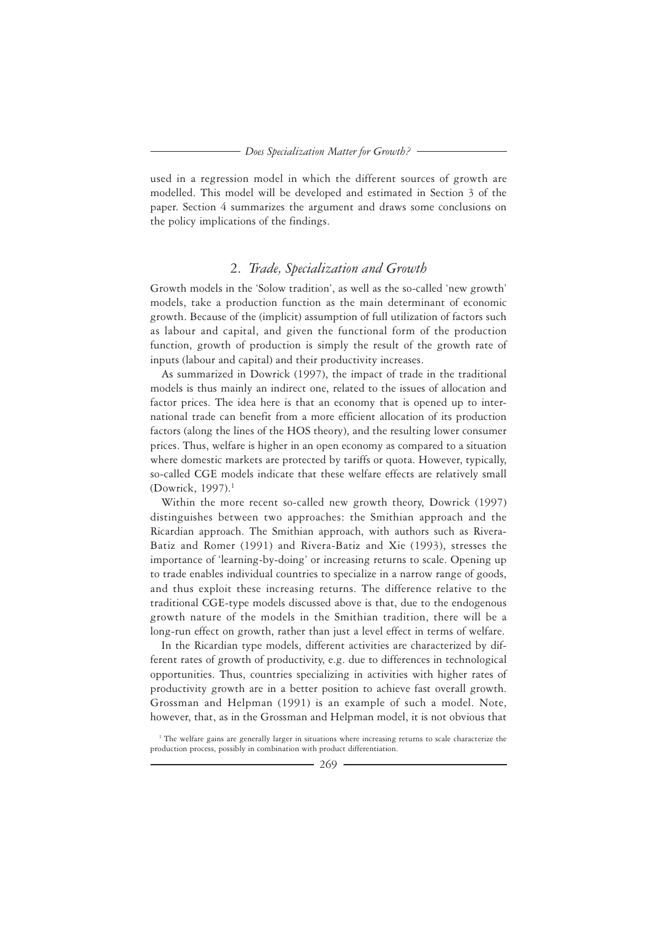used in a regression model in which the different sources of growth are modelled. This model will be developed and estimated in Section 3 of the paper. Section 4 summarizes the argument and draws some conclusions on the policy implications of the findings.

## 2. *Trade, Specialization and Growth*

Growth models in the 'Solow tradition', as well as the so-called 'new growth' models, take a production function as the main determinant of economic growth. Because of the (implicit) assumption of full utilization of factors such as labour and capital, and given the functional form of the production function, growth of production is simply the result of the growth rate of inputs (labour and capital) and their productivity increases.

As summarized in Dowrick (1997), the impact of trade in the traditional models is thus mainly an indirect one, related to the issues of allocation and factor prices. The idea here is that an economy that is opened up to international trade can benefit from a more efficient allocation of its production factors (along the lines of the HOS theory), and the resulting lower consumer prices. Thus, welfare is higher in an open economy as compared to a situation where domestic markets are protected by tariffs or quota. However, typically, so-called CGE models indicate that these welfare effects are relatively small (Dowrick, 1997).1

Within the more recent so-called new growth theory, Dowrick (1997) distinguishes between two approaches: the Smithian approach and the Ricardian approach. The Smithian approach, with authors such as Rivera-Batiz and Romer (1991) and Rivera-Batiz and Xie (1993), stresses the importance of 'learning-by-doing' or increasing returns to scale. Opening up to trade enables individual countries to specialize in a narrow range of goods, and thus exploit these increasing returns. The difference relative to the traditional CGE-type models discussed above is that, due to the endogenous growth nature of the models in the Smithian tradition, there will be a long-run effect on growth, rather than just a level effect in terms of welfare.

In the Ricardian type models, different activities are characterized by different rates of growth of productivity, e.g. due to differences in technological opportunities. Thus, countries specializing in activities with higher rates of productivity growth are in a better position to achieve fast overall growth. Grossman and Helpman (1991) is an example of such a model. Note, however, that, as in the Grossman and Helpman model, it is not obvious that

<sup>&</sup>lt;sup>1</sup> The welfare gains are generally larger in situations where increasing returns to scale characterize the production process, possibly in combination with product differentiation.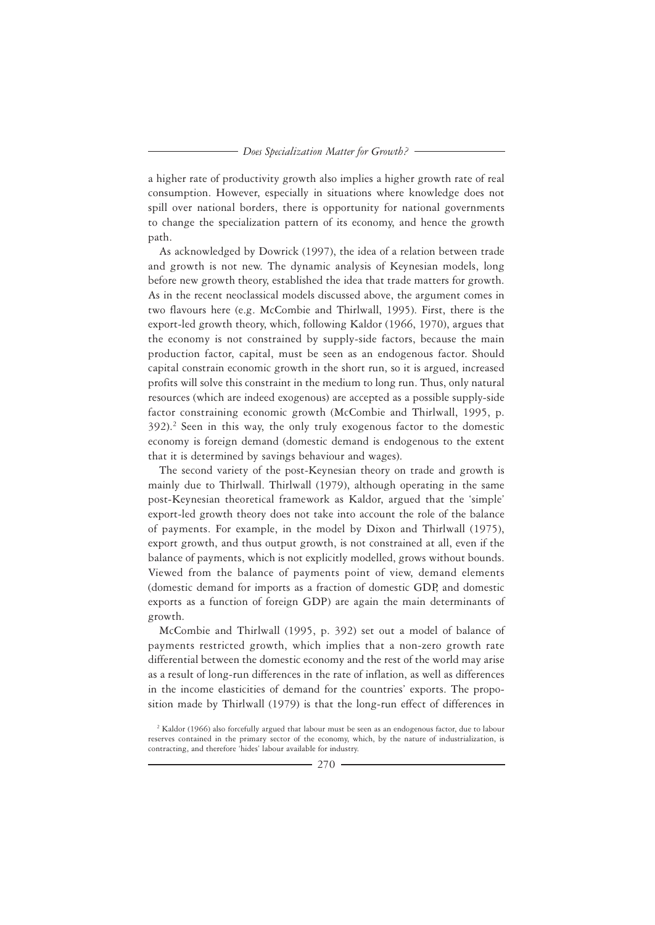a higher rate of productivity growth also implies a higher growth rate of real consumption. However, especially in situations where knowledge does not spill over national borders, there is opportunity for national governments to change the specialization pattern of its economy, and hence the growth path.

As acknowledged by Dowrick (1997), the idea of a relation between trade and growth is not new. The dynamic analysis of Keynesian models, long before new growth theory, established the idea that trade matters for growth. As in the recent neoclassical models discussed above, the argument comes in two flavours here (e.g. McCombie and Thirlwall, 1995). First, there is the export-led growth theory, which, following Kaldor (1966, 1970), argues that the economy is not constrained by supply-side factors, because the main production factor, capital, must be seen as an endogenous factor. Should capital constrain economic growth in the short run, so it is argued, increased profits will solve this constraint in the medium to long run. Thus, only natural resources (which are indeed exogenous) are accepted as a possible supply-side factor constraining economic growth (McCombie and Thirlwall, 1995, p. 392).2 Seen in this way, the only truly exogenous factor to the domestic economy is foreign demand (domestic demand is endogenous to the extent that it is determined by savings behaviour and wages).

The second variety of the post-Keynesian theory on trade and growth is mainly due to Thirlwall. Thirlwall (1979), although operating in the same post-Keynesian theoretical framework as Kaldor, argued that the 'simple' export-led growth theory does not take into account the role of the balance of payments. For example, in the model by Dixon and Thirlwall (1975), export growth, and thus output growth, is not constrained at all, even if the balance of payments, which is not explicitly modelled, grows without bounds. Viewed from the balance of payments point of view, demand elements (domestic demand for imports as a fraction of domestic GDP, and domestic exports as a function of foreign GDP) are again the main determinants of growth.

McCombie and Thirlwall (1995, p. 392) set out a model of balance of payments restricted growth, which implies that a non-zero growth rate differential between the domestic economy and the rest of the world may arise as a result of long-run differences in the rate of inflation, as well as differences in the income elasticities of demand for the countries' exports. The proposition made by Thirlwall (1979) is that the long-run effect of differences in

<sup>2</sup> Kaldor (1966) also forcefully argued that labour must be seen as an endogenous factor, due to labour reserves contained in the primary sector of the economy, which, by the nature of industrialization, is contracting, and therefore 'hides' labour available for industry.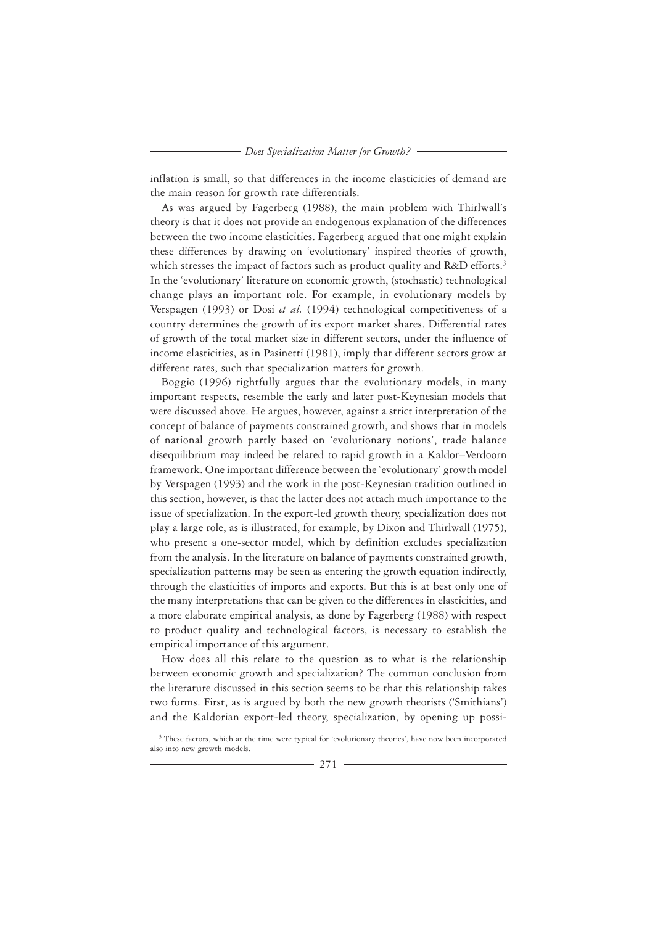inflation is small, so that differences in the income elasticities of demand are the main reason for growth rate differentials.

As was argued by Fagerberg (1988), the main problem with Thirlwall's theory is that it does not provide an endogenous explanation of the differences between the two income elasticities. Fagerberg argued that one might explain these differences by drawing on 'evolutionary' inspired theories of growth, which stresses the impact of factors such as product quality and R&D efforts.<sup>3</sup> In the 'evolutionary' literature on economic growth, (stochastic) technological change plays an important role. For example, in evolutionary models by Verspagen (1993) or Dosi *et al.* (1994) technological competitiveness of a country determines the growth of its export market shares. Differential rates of growth of the total market size in different sectors, under the influence of income elasticities, as in Pasinetti (1981), imply that different sectors grow at different rates, such that specialization matters for growth.

Boggio (1996) rightfully argues that the evolutionary models, in many important respects, resemble the early and later post-Keynesian models that were discussed above. He argues, however, against a strict interpretation of the concept of balance of payments constrained growth, and shows that in models of national growth partly based on 'evolutionary notions', trade balance disequilibrium may indeed be related to rapid growth in a Kaldor–Verdoorn framework. One important difference between the 'evolutionary' growth model by Verspagen (1993) and the work in the post-Keynesian tradition outlined in this section, however, is that the latter does not attach much importance to the issue of specialization. In the export-led growth theory, specialization does not play a large role, as is illustrated, for example, by Dixon and Thirlwall (1975), who present a one-sector model, which by definition excludes specialization from the analysis. In the literature on balance of payments constrained growth, specialization patterns may be seen as entering the growth equation indirectly, through the elasticities of imports and exports. But this is at best only one of the many interpretations that can be given to the differences in elasticities, and a more elaborate empirical analysis, as done by Fagerberg (1988) with respect to product quality and technological factors, is necessary to establish the empirical importance of this argument.

How does all this relate to the question as to what is the relationship between economic growth and specialization? The common conclusion from the literature discussed in this section seems to be that this relationship takes two forms. First, as is argued by both the new growth theorists ('Smithians') and the Kaldorian export-led theory, specialization, by opening up possi-

<sup>&</sup>lt;sup>3</sup> These factors, which at the time were typical for 'evolutionary theories', have now been incorporated also into new growth models.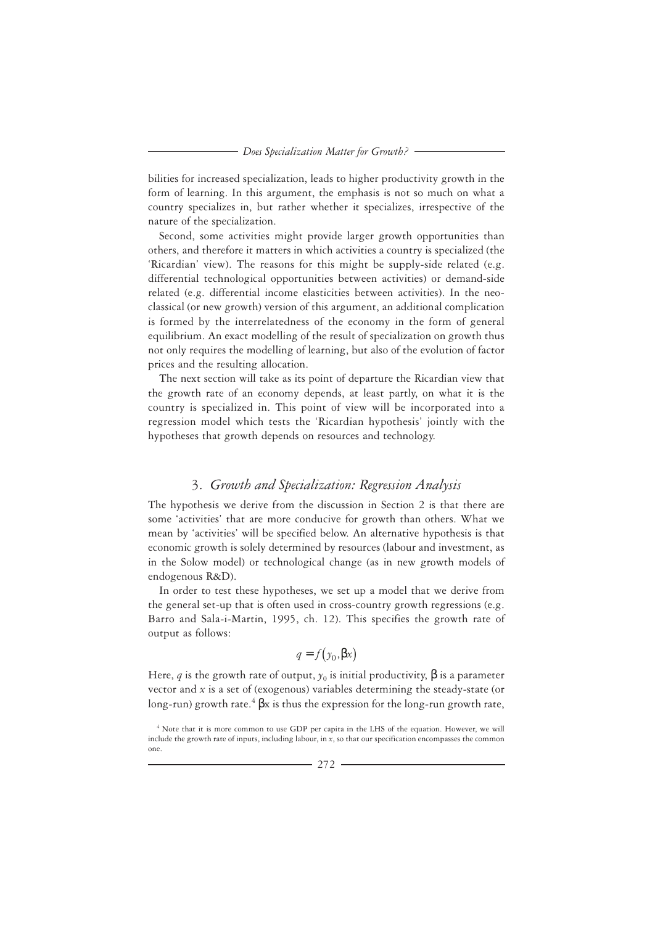bilities for increased specialization, leads to higher productivity growth in the form of learning. In this argument, the emphasis is not so much on what a country specializes in, but rather whether it specializes, irrespective of the nature of the specialization.

Second, some activities might provide larger growth opportunities than others, and therefore it matters in which activities a country is specialized (the 'Ricardian' view). The reasons for this might be supply-side related (e.g. differential technological opportunities between activities) or demand-side related (e.g. differential income elasticities between activities). In the neoclassical (or new growth) version of this argument, an additional complication is formed by the interrelatedness of the economy in the form of general equilibrium. An exact modelling of the result of specialization on growth thus not only requires the modelling of learning, but also of the evolution of factor prices and the resulting allocation.

The next section will take as its point of departure the Ricardian view that the growth rate of an economy depends, at least partly, on what it is the country is specialized in. This point of view will be incorporated into a regression model which tests the 'Ricardian hypothesis' jointly with the hypotheses that growth depends on resources and technology.

### 3. *Growth and Specialization: Regression Analysis*

The hypothesis we derive from the discussion in Section 2 is that there are some 'activities' that are more conducive for growth than others. What we mean by 'activities' will be specified below. An alternative hypothesis is that economic growth is solely determined by resources (labour and investment, as in the Solow model) or technological change (as in new growth models of endogenous R&D).

In order to test these hypotheses, we set up a model that we derive from the general set-up that is often used in cross-country growth regressions (e.g. Barro and Sala-i-Martin, 1995, ch. 12). This specifies the growth rate of output as follows:

$$
q = f(y_0, \beta x)
$$

 $q = f(y_0, \beta x)$ <br>Here, *q* is the growth rate of output,  $y_0$  is initial productivity, β is a parameter vector and *x* is a set of (exogenous) variables determining the steady-state (or long-run) growth rate.<sup>4</sup>  $\beta x$  is thus the expression for the long-run growth rate,

<sup>4</sup> Note that it is more common to use GDP per capita in the LHS of the equation. However, we will include the growth rate of inputs, including labour, in *x*, so that our specification encompasses the common one.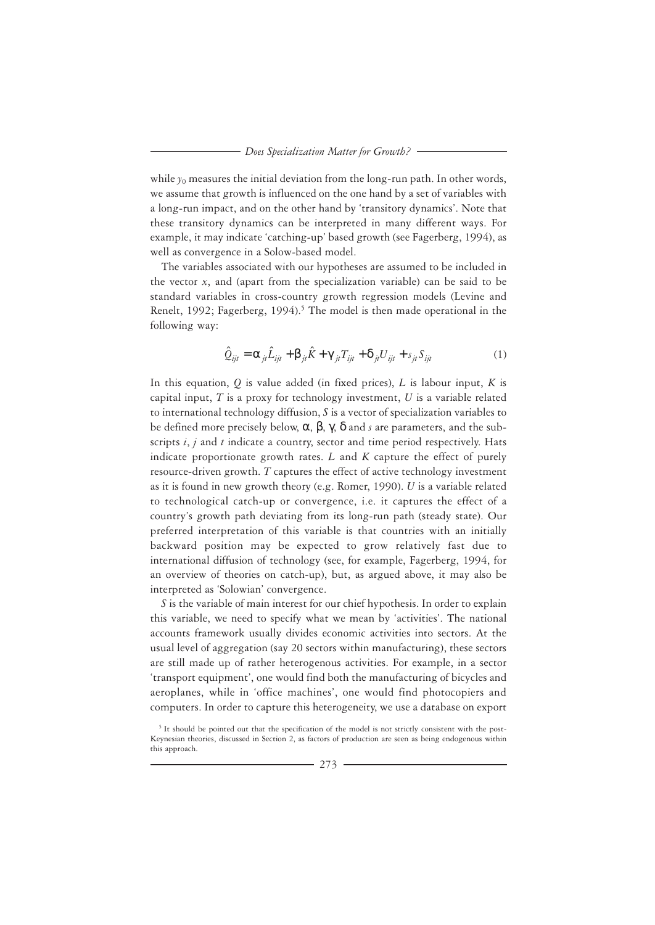while  $y_0$  measures the initial deviation from the long-run path. In other words, we assume that growth is influenced on the one hand by a set of variables with a long-run impact, and on the other hand by 'transitory dynamics'. Note that these transitory dynamics can be interpreted in many different ways. For example, it may indicate 'catching-up' based growth (see Fagerberg, 1994), as well as convergence in a Solow-based model.

The variables associated with our hypotheses are assumed to be included in the vector *x*, and (apart from the specialization variable) can be said to be standard variables in cross-country growth regression models (Levine and Renelt, 1992; Fagerberg, 1994).<sup>5</sup> The model is then made operational in the following way:

$$
\hat{Q}_{ijt} = \alpha_{jt}\hat{L}_{ijt} + \beta_{jt}\hat{K} + \gamma_{jt}T_{ijt} + \delta_{jt}U_{ijt} + s_{jt}S_{ijt}
$$
\n(1)

In this equation, *Q* is value added (in fixed prices), *L* is labour input, *K* is capital input, *T* is a proxy for technology investment, *U* is a variable related to international technology diffusion, *S* is a vector of specialization variables to be defined more precisely below,  $\alpha$ ,  $\beta$ ,  $\gamma$ ,  $\delta$  and *s* are parameters, and the subscripts *i*, *j* and *t* indicate a country, sector and time period respectively. Hats indicate proportionate growth rates. *L* and *K* capture the effect of purely resource-driven growth. *T* captures the effect of active technology investment as it is found in new growth theory (e.g. Romer, 1990). *U* is a variable related to technological catch-up or convergence, i.e. it captures the effect of a country's growth path deviating from its long-run path (steady state). Our preferred interpretation of this variable is that countries with an initially backward position may be expected to grow relatively fast due to international diffusion of technology (see, for example, Fagerberg, 1994, for an overview of theories on catch-up), but, as argued above, it may also be interpreted as 'Solowian' convergence.

*S* is the variable of main interest for our chief hypothesis. In order to explain this variable, we need to specify what we mean by 'activities'. The national accounts framework usually divides economic activities into sectors. At the usual level of aggregation (say 20 sectors within manufacturing), these sectors are still made up of rather heterogenous activities. For example, in a sector 'transport equipment', one would find both the manufacturing of bicycles and aeroplanes, while in 'office machines', one would find photocopiers and computers. In order to capture this heterogeneity, we use a database on export

<sup>&</sup>lt;sup>5</sup> It should be pointed out that the specification of the model is not strictly consistent with the post-Keynesian theories, discussed in Section 2, as factors of production are seen as being endogenous within this approach.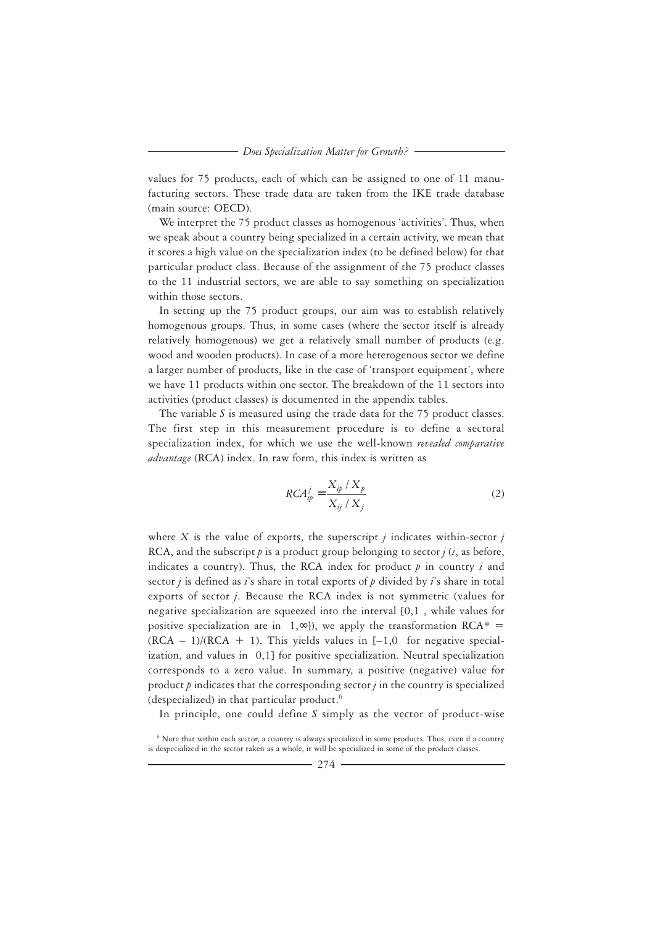values for 75 products, each of which can be assigned to one of 11 manufacturing sectors. These trade data are taken from the IKE trade database (main source: OECD).

We interpret the 75 product classes as homogenous 'activities'. Thus, when we speak about a country being specialized in a certain activity, we mean that it scores a high value on the specialization index (to be defined below) for that particular product class. Because of the assignment of the 75 product classes to the 11 industrial sectors, we are able to say something on specialization within those sectors.

In setting up the 75 product groups, our aim was to establish relatively homogenous groups. Thus, in some cases (where the sector itself is already relatively homogenous) we get a relatively small number of products (e.g. wood and wooden products). In case of a more heterogenous sector we define a larger number of products, like in the case of 'transport equipment', where we have 11 products within one sector. The breakdown of the 11 sectors into activities (product classes) is documented in the appendix tables.

The variable *S* is measured using the trade data for the 75 product classes. The first step in this measurement procedure is to define a sectoral specialization index, for which we use the well-known *revealed comparative advantage* (RCA) index. In raw form, this index is written as

$$
RCA_{ip}^{j} = \frac{X_{ip} / X_p}{X_{ij} / X_j}
$$
 (2)

where *X* is the value of exports, the superscript *j* indicates within-sector *j* RCA, and the subscript  $p$  is a product group belonging to sector  $j(i)$ , as before, indicates a country). Thus, the RCA index for product  $p$  in country  $i$  and sector *j* is defined as *i*'s share in total exports of *p* divided by *i*'s share in total exports of sector *j*. Because the RCA index is not symmetric (values for negative specialization are squeezed into the interval [0,1〉, while values for positive specialization are in  $(1, \infty)$ , we apply the transformation RCA\* =  $(RCA - 1)/(RCA + 1)$ . This yields values in  $\{-1,0\}$  for negative specialization, and values in  $(0,1)$  for positive specialization. Neutral specialization corresponds to a zero value. In summary, a positive (negative) value for product *p* indicates that the corresponding sector *j* in the country is specialized (despecialized) in that particular product. $<sup>6</sup>$ </sup>

In principle, one could define *S* simply as the vector of product-wise

<sup>6</sup> Note that within each sector, a country is always specialized in some products. Thus, even if a country is despecialized in the sector taken as a whole, it will be specialized in some of the product classes.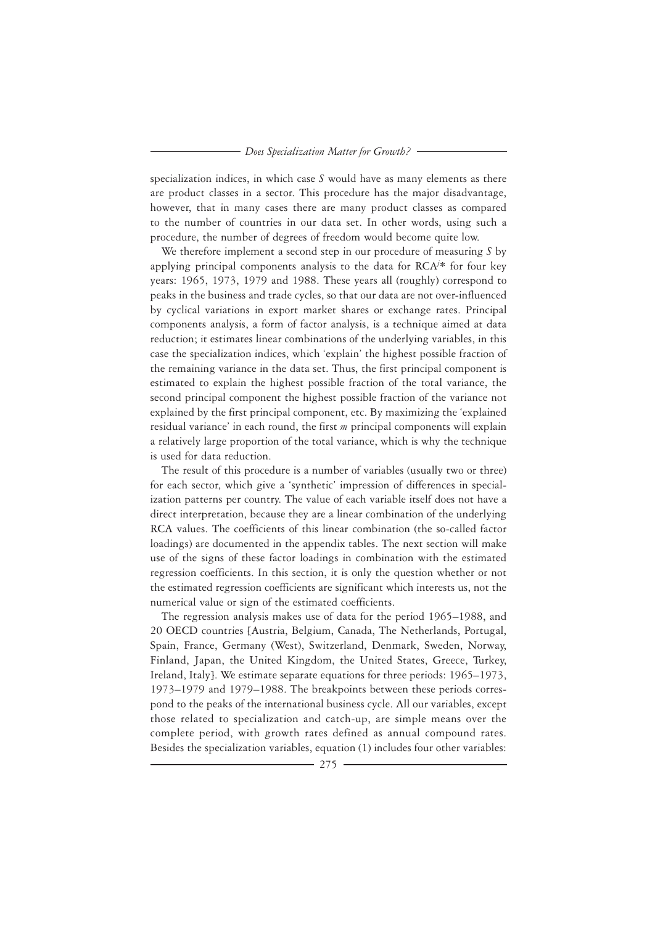specialization indices, in which case *S* would have as many elements as there are product classes in a sector. This procedure has the major disadvantage, however, that in many cases there are many product classes as compared to the number of countries in our data set. In other words, using such a procedure, the number of degrees of freedom would become quite low.

We therefore implement a second step in our procedure of measuring *S* by applying principal components analysis to the data for RCA*<sup>j</sup>* \* for four key years: 1965, 1973, 1979 and 1988. These years all (roughly) correspond to peaks in the business and trade cycles, so that our data are not over-influenced by cyclical variations in export market shares or exchange rates. Principal components analysis, a form of factor analysis, is a technique aimed at data reduction; it estimates linear combinations of the underlying variables, in this case the specialization indices, which 'explain' the highest possible fraction of the remaining variance in the data set. Thus, the first principal component is estimated to explain the highest possible fraction of the total variance, the second principal component the highest possible fraction of the variance not explained by the first principal component, etc. By maximizing the 'explained residual variance' in each round, the first *m* principal components will explain a relatively large proportion of the total variance, which is why the technique is used for data reduction.

The result of this procedure is a number of variables (usually two or three) for each sector, which give a 'synthetic' impression of differences in specialization patterns per country. The value of each variable itself does not have a direct interpretation, because they are a linear combination of the underlying RCA values. The coefficients of this linear combination (the so-called factor loadings) are documented in the appendix tables. The next section will make use of the signs of these factor loadings in combination with the estimated regression coefficients. In this section, it is only the question whether or not the estimated regression coefficients are significant which interests us, not the numerical value or sign of the estimated coefficients.

The regression analysis makes use of data for the period 1965–1988, and 20 OECD countries [Austria, Belgium, Canada, The Netherlands, Portugal, Spain, France, Germany (West), Switzerland, Denmark, Sweden, Norway, Finland, Japan, the United Kingdom, the United States, Greece, Turkey, Ireland, Italy]. We estimate separate equations for three periods: 1965–1973, 1973–1979 and 1979–1988. The breakpoints between these periods correspond to the peaks of the international business cycle. All our variables, except those related to specialization and catch-up, are simple means over the complete period, with growth rates defined as annual compound rates. Besides the specialization variables, equation (1) includes four other variables: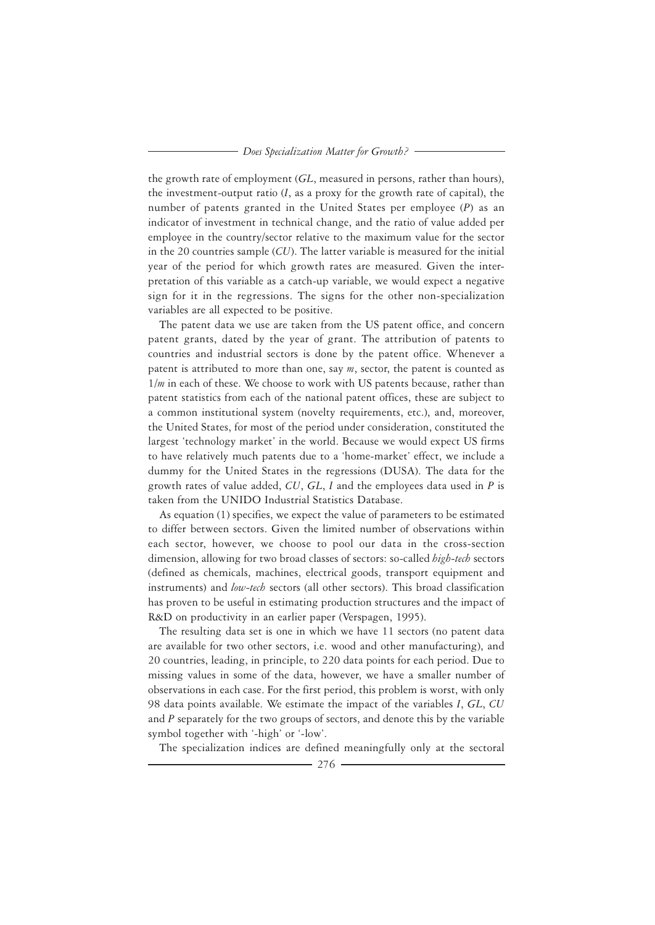the growth rate of employment (*GL*, measured in persons, rather than hours), the investment-output ratio  $(I, as a proxy for the growth rate of capital)$ , the number of patents granted in the United States per employee (*P*) as an indicator of investment in technical change, and the ratio of value added per employee in the country/sector relative to the maximum value for the sector in the 20 countries sample (*CU*). The latter variable is measured for the initial year of the period for which growth rates are measured. Given the interpretation of this variable as a catch-up variable, we would expect a negative sign for it in the regressions. The signs for the other non-specialization variables are all expected to be positive.

The patent data we use are taken from the US patent office, and concern patent grants, dated by the year of grant. The attribution of patents to countries and industrial sectors is done by the patent office. Whenever a patent is attributed to more than one, say *m*, sector, the patent is counted as 1/*m* in each of these. We choose to work with US patents because, rather than patent statistics from each of the national patent offices, these are subject to a common institutional system (novelty requirements, etc.), and, moreover, the United States, for most of the period under consideration, constituted the largest 'technology market' in the world. Because we would expect US firms to have relatively much patents due to a 'home-market' effect, we include a dummy for the United States in the regressions (DUSA). The data for the growth rates of value added, *CU*, *GL*, *I* and the employees data used in *P* is taken from the UNIDO Industrial Statistics Database.

As equation (1) specifies, we expect the value of parameters to be estimated to differ between sectors. Given the limited number of observations within each sector, however, we choose to pool our data in the cross-section dimension, allowing for two broad classes of sectors: so-called *high-tech* sectors (defined as chemicals, machines, electrical goods, transport equipment and instruments) and *low-tech* sectors (all other sectors). This broad classification has proven to be useful in estimating production structures and the impact of R&D on productivity in an earlier paper (Verspagen, 1995).

The resulting data set is one in which we have 11 sectors (no patent data are available for two other sectors, i.e. wood and other manufacturing), and 20 countries, leading, in principle, to 220 data points for each period. Due to missing values in some of the data, however, we have a smaller number of observations in each case. For the first period, this problem is worst, with only 98 data points available. We estimate the impact of the variables *I*, *GL*, *CU* and *P* separately for the two groups of sectors, and denote this by the variable symbol together with '-high' or '-low'.

The specialization indices are defined meaningfully only at the sectoral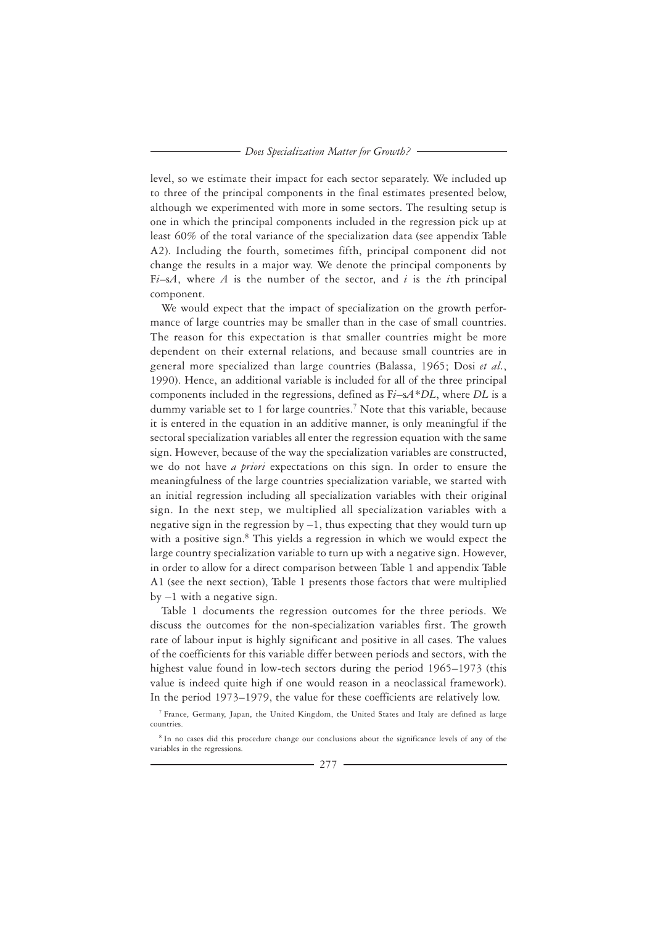level, so we estimate their impact for each sector separately. We included up to three of the principal components in the final estimates presented below, although we experimented with more in some sectors. The resulting setup is one in which the principal components included in the regression pick up at least 60% of the total variance of the specialization data (see appendix Table A2). Including the fourth, sometimes fifth, principal component did not change the results in a major way. We denote the principal components by F*i*–s*A*, where *A* is the number of the sector, and *i* is the *i*th principal component.

We would expect that the impact of specialization on the growth performance of large countries may be smaller than in the case of small countries. The reason for this expectation is that smaller countries might be more dependent on their external relations, and because small countries are in general more specialized than large countries (Balassa, 1965; Dosi *et al.*, 1990). Hence, an additional variable is included for all of the three principal components included in the regressions, defined as F*i*–s*A*\**DL*, where *DL* is a dummy variable set to 1 for large countries.<sup>7</sup> Note that this variable, because it is entered in the equation in an additive manner, is only meaningful if the sectoral specialization variables all enter the regression equation with the same sign. However, because of the way the specialization variables are constructed, we do not have *a priori* expectations on this sign. In order to ensure the meaningfulness of the large countries specialization variable, we started with an initial regression including all specialization variables with their original sign. In the next step, we multiplied all specialization variables with a negative sign in the regression by  $-1$ , thus expecting that they would turn up with a positive sign.<sup>8</sup> This yields a regression in which we would expect the large country specialization variable to turn up with a negative sign. However, in order to allow for a direct comparison between Table 1 and appendix Table A1 (see the next section), Table 1 presents those factors that were multiplied by –1 with a negative sign.

Table 1 documents the regression outcomes for the three periods. We discuss the outcomes for the non-specialization variables first. The growth rate of labour input is highly significant and positive in all cases. The values of the coefficients for this variable differ between periods and sectors, with the highest value found in low-tech sectors during the period 1965–1973 (this value is indeed quite high if one would reason in a neoclassical framework). In the period 1973–1979, the value for these coefficients are relatively low.

<sup>7</sup> France, Germany, Japan, the United Kingdom, the United States and Italy are defined as large countries.

<sup>8</sup> In no cases did this procedure change our conclusions about the significance levels of any of the variables in the regressions.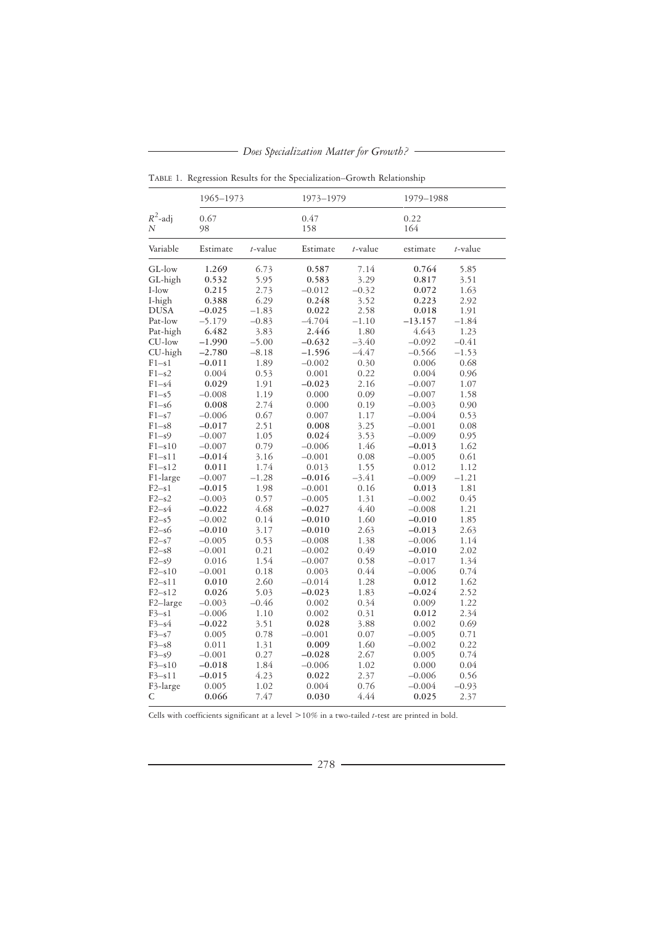|                       | 1965-1973  |            | 1973-1979   |            | 1979-1988   |            |
|-----------------------|------------|------------|-------------|------------|-------------|------------|
| $R^2$ -adj<br>N       | 0.67<br>98 |            | 0.47<br>158 |            | 0.22<br>164 |            |
| Variable              | Estimate   | $t$ -value | Estimate    | $t$ -value | estimate    | $t$ -value |
| GL-low                | 1.269      | 6.73       | 0.587       | 7.14       | 0.764       | 5.85       |
| GL-high               | 0.532      | 5.95       | 0.583       | 3.29       | 0.817       | 3.51       |
| I-low                 | 0.215      | 2.73       | $-0.012$    | $-0.32$    | 0.072       | 1.63       |
| I-high                | 0.388      | 6.29       | 0.248       | 3.52       | 0.223       | 2.92       |
| <b>DUSA</b>           | $-0.025$   | $-1.83$    | 0.022       | 2.58       | 0.018       | 1.91       |
| Pat-low               | $-5.179$   | $-0.83$    | $-4.704$    | $-1.10$    | $-13.157$   | $-1.84$    |
| Pat-high              | 6.482      | 3.83       | 2.446       | 1.80       | 4.643       | 1.23       |
| CU-low                | $-1.990$   | $-5.00$    | $-0.632$    | $-3.40$    | $-0.092$    | $-0.41$    |
| CU-high               | $-2.780$   | $-8.18$    | $-1.596$    | $-4.47$    | $-0.566$    | $-1.53$    |
| $F1 - s1$             | $-0.011$   | 1.89       | $-0.002$    | 0.30       | 0.006       | 0.68       |
| $F1 - s2$             | 0.004      | 0.53       | 0.001       | 0.22       | 0.004       | 0.96       |
| $F1 - s4$             | 0.029      | 1.91       | $-0.023$    | 2.16       | $-0.007$    | 1.07       |
| $F1 - s5$             | $-0.008$   | 1.19       | 0.000       | 0.09       | $-0.007$    | 1.58       |
| $F1 - s6$             | 0.008      | 2.74       | 0.000       | 0.19       | $-0.003$    | 0.90       |
| $F1 - s7$             | $-0.006$   | 0.67       | 0.007       | 1.17       | $-0.004$    | 0.53       |
| $F1 - s8$             | $-0.017$   | 2.51       | 0.008       | 3.25       | $-0.001$    | 0.08       |
| $F1 - s9$             | $-0.007$   | 1.05       | 0.024       | 3.53       | $-0.009$    | 0.95       |
| $F1 - s10$            | $-0.007$   | 0.79       | $-0.006$    | 1.46       | $-0.013$    | 1.62       |
| $F1 - s11$            | $-0.014$   | 3.16       | $-0.001$    | 0.08       | $-0.005$    | 0.61       |
| $F1 - s12$            | 0.011      | 1.74       | 0.013       | 1.55       | 0.012       | 1.12       |
| F1-large              | $-0.007$   | $-1.28$    | $-0.016$    | $-3.41$    | $-0.009$    | $-1.21$    |
| $F2 - s1$             | $-0.015$   | 1.98       | $-0.001$    | 0.16       | 0.013       | 1.81       |
| $F2 - s2$             | $-0.003$   | 0.57       | $-0.005$    | 1.31       | $-0.002$    | 0.45       |
| $F2 - s4$             | $-0.022$   | 4.68       | $-0.027$    | 4.40       | $-0.008$    | 1.21       |
| $F2 - s5$             | $-0.002$   | 0.14       | $-0.010$    | 1.60       | $-0.010$    | 1.85       |
| $F2 - s6$             | $-0.010$   | 3.17       | $-0.010$    | 2.63       | $-0.013$    | 2.63       |
| $F2 - s7$             | $-0.005$   | 0.53       | $-0.008$    | 1.38       | $-0.006$    | 1.14       |
| $F2-s8$               | $-0.001$   | 0.21       | $-0.002$    | 0.49       | $-0.010$    | 2.02       |
| $F2 - s9$             | 0.016      | 1.54       | $-0.007$    | 0.58       | $-0.017$    | 1.34       |
| $F2 - s10$            | $-0.001$   | 0.18       | 0.003       | 0.44       | $-0.006$    | 0.74       |
| $F2 - s11$            | 0.010      | 2.60       | $-0.014$    | 1.28       | 0.012       | 1.62       |
| $F2 - s12$            | 0.026      | 5.03       | $-0.023$    | 1.83       | $-0.024$    | 2.52       |
| F <sub>2</sub> -large | $-0.003$   | $-0.46$    | 0.002       | 0.34       | 0.009       | 1.22       |
| $F3 - s1$             | $-0.006$   | 1.10       |             | 0.31       | 0.012       | 2.34       |
|                       |            |            | 0.002       |            |             |            |
| $F3 - s4$             | $-0.022$   | 3.51       | 0.028       | 3.88       | 0.002       | 0.69       |
| $F3 - s7$             | 0.005      | 0.78       | $-0.001$    | 0.07       | $-0.005$    | 0.71       |
| $F3 - s8$             | 0.011      | 1.31       | 0.009       | 1.60       | $-0.002$    | 0.22       |
| $F3-s9$               | $-0.001$   | 0.27       | $-0.028$    | 2.67       | 0.005       | 0.74       |
| $F3 - s10$            | $-0.018$   | 1.84       | $-0.006$    | 1.02       | 0.000       | 0.04       |
| $F3 - s11$            | $-0.015$   | 4.23       | 0.022       | 2.37       | $-0.006$    | 0.56       |
| F3-large              | 0.005      | 1.02       | 0.004       | 0.76       | $-0.004$    | $-0.93$    |
| C                     | 0.066      | 7.47       | 0.030       | 4.44       | 0.025       | 2.37       |

TABLE 1. Regression Results for the Specialization–Growth Relationship

Cells with coefficients significant at a level >10% in a two-tailed *t*-test are printed in bold.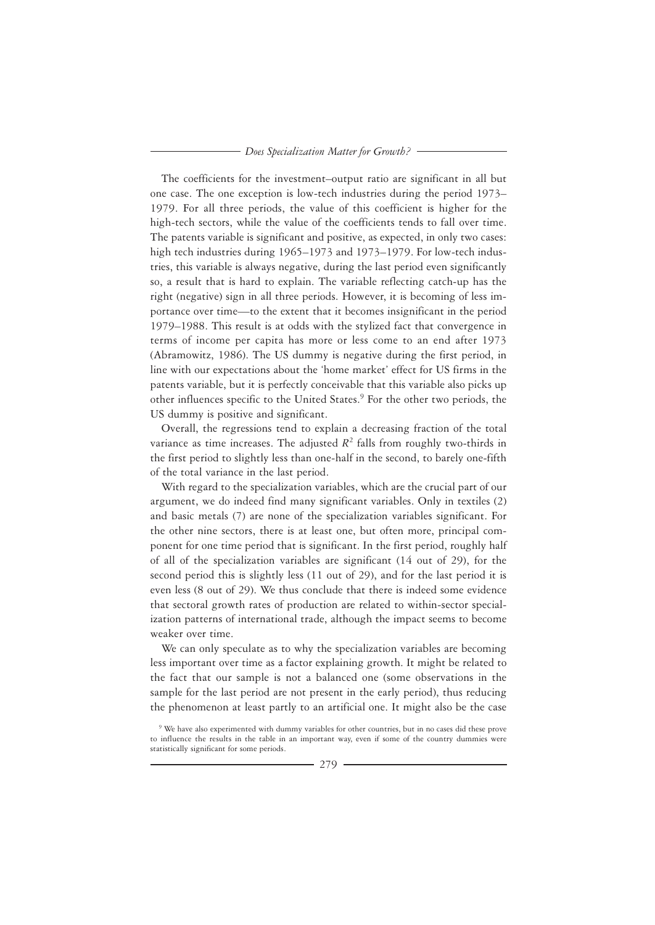The coefficients for the investment–output ratio are significant in all but one case. The one exception is low-tech industries during the period 1973– 1979. For all three periods, the value of this coefficient is higher for the high-tech sectors, while the value of the coefficients tends to fall over time. The patents variable is significant and positive, as expected, in only two cases: high tech industries during 1965–1973 and 1973–1979. For low-tech industries, this variable is always negative, during the last period even significantly so, a result that is hard to explain. The variable reflecting catch-up has the right (negative) sign in all three periods. However, it is becoming of less importance over time—to the extent that it becomes insignificant in the period 1979–1988. This result is at odds with the stylized fact that convergence in terms of income per capita has more or less come to an end after 1973 (Abramowitz, 1986). The US dummy is negative during the first period, in line with our expectations about the 'home market' effect for US firms in the patents variable, but it is perfectly conceivable that this variable also picks up other influences specific to the United States.9 For the other two periods, the US dummy is positive and significant.

Overall, the regressions tend to explain a decreasing fraction of the total variance as time increases. The adjusted  $R^2$  falls from roughly two-thirds in the first period to slightly less than one-half in the second, to barely one-fifth of the total variance in the last period.

With regard to the specialization variables, which are the crucial part of our argument, we do indeed find many significant variables. Only in textiles (2) and basic metals (7) are none of the specialization variables significant. For the other nine sectors, there is at least one, but often more, principal component for one time period that is significant. In the first period, roughly half of all of the specialization variables are significant (14 out of 29), for the second period this is slightly less (11 out of 29), and for the last period it is even less (8 out of 29). We thus conclude that there is indeed some evidence that sectoral growth rates of production are related to within-sector specialization patterns of international trade, although the impact seems to become weaker over time.

We can only speculate as to why the specialization variables are becoming less important over time as a factor explaining growth. It might be related to the fact that our sample is not a balanced one (some observations in the sample for the last period are not present in the early period), thus reducing the phenomenon at least partly to an artificial one. It might also be the case

<sup>9</sup> We have also experimented with dummy variables for other countries, but in no cases did these prove to influence the results in the table in an important way, even if some of the country dummies were statistically significant for some periods.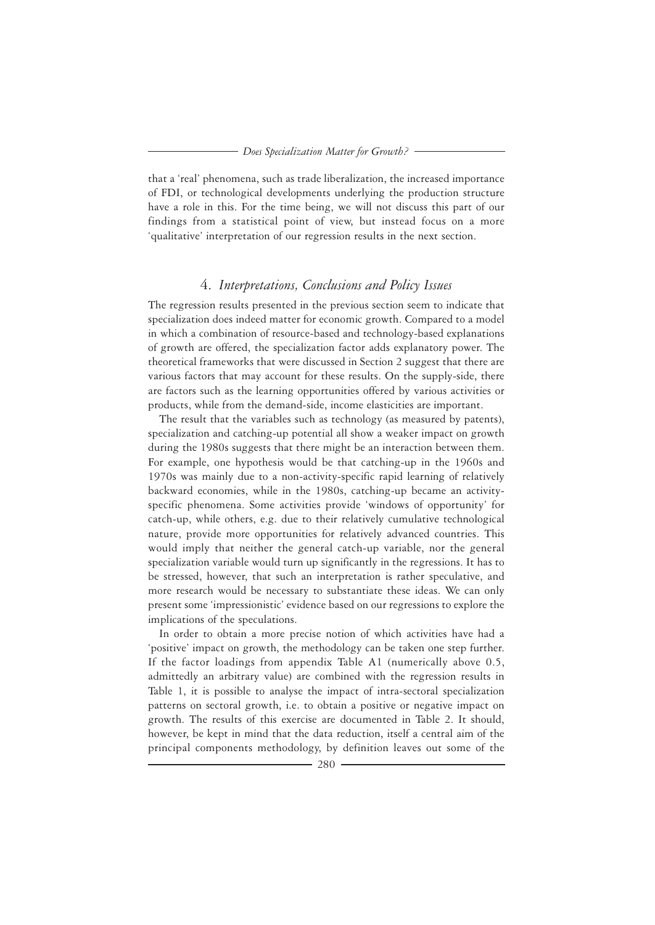that a 'real' phenomena, such as trade liberalization, the increased importance of FDI, or technological developments underlying the production structure have a role in this. For the time being, we will not discuss this part of our findings from a statistical point of view, but instead focus on a more 'qualitative' interpretation of our regression results in the next section.

# 4. *Interpretations, Conclusions and Policy Issues*

The regression results presented in the previous section seem to indicate that specialization does indeed matter for economic growth. Compared to a model in which a combination of resource-based and technology-based explanations of growth are offered, the specialization factor adds explanatory power. The theoretical frameworks that were discussed in Section 2 suggest that there are various factors that may account for these results. On the supply-side, there are factors such as the learning opportunities offered by various activities or products, while from the demand-side, income elasticities are important.

The result that the variables such as technology (as measured by patents), specialization and catching-up potential all show a weaker impact on growth during the 1980s suggests that there might be an interaction between them. For example, one hypothesis would be that catching-up in the 1960s and 1970s was mainly due to a non-activity-specific rapid learning of relatively backward economies, while in the 1980s, catching-up became an activityspecific phenomena. Some activities provide 'windows of opportunity' for catch-up, while others, e.g. due to their relatively cumulative technological nature, provide more opportunities for relatively advanced countries. This would imply that neither the general catch-up variable, nor the general specialization variable would turn up significantly in the regressions. It has to be stressed, however, that such an interpretation is rather speculative, and more research would be necessary to substantiate these ideas. We can only present some 'impressionistic' evidence based on our regressions to explore the implications of the speculations.

In order to obtain a more precise notion of which activities have had a 'positive' impact on growth, the methodology can be taken one step further. If the factor loadings from appendix Table A1 (numerically above 0.5, admittedly an arbitrary value) are combined with the regression results in Table 1, it is possible to analyse the impact of intra-sectoral specialization patterns on sectoral growth, i.e. to obtain a positive or negative impact on growth. The results of this exercise are documented in Table 2. It should, however, be kept in mind that the data reduction, itself a central aim of the principal components methodology, by definition leaves out some of the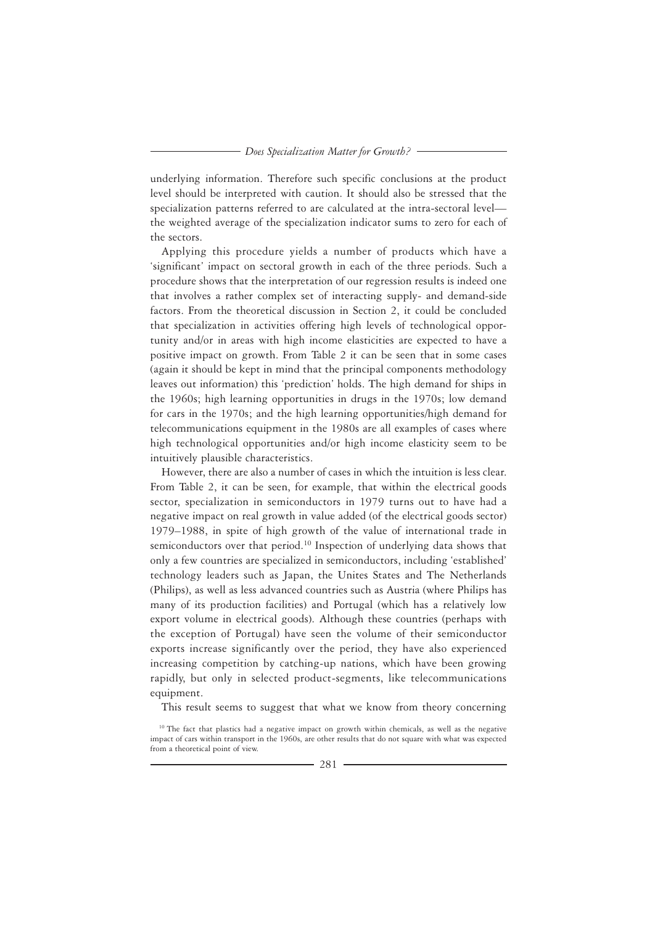underlying information. Therefore such specific conclusions at the product level should be interpreted with caution. It should also be stressed that the specialization patterns referred to are calculated at the intra-sectoral level the weighted average of the specialization indicator sums to zero for each of the sectors.

Applying this procedure yields a number of products which have a 'significant' impact on sectoral growth in each of the three periods. Such a procedure shows that the interpretation of our regression results is indeed one that involves a rather complex set of interacting supply- and demand-side factors. From the theoretical discussion in Section 2, it could be concluded that specialization in activities offering high levels of technological opportunity and/or in areas with high income elasticities are expected to have a positive impact on growth. From Table 2 it can be seen that in some cases (again it should be kept in mind that the principal components methodology leaves out information) this 'prediction' holds. The high demand for ships in the 1960s; high learning opportunities in drugs in the 1970s; low demand for cars in the 1970s; and the high learning opportunities/high demand for telecommunications equipment in the 1980s are all examples of cases where high technological opportunities and/or high income elasticity seem to be intuitively plausible characteristics.

However, there are also a number of cases in which the intuition is less clear. From Table 2, it can be seen, for example, that within the electrical goods sector, specialization in semiconductors in 1979 turns out to have had a negative impact on real growth in value added (of the electrical goods sector) 1979–1988, in spite of high growth of the value of international trade in semiconductors over that period.<sup>10</sup> Inspection of underlying data shows that only a few countries are specialized in semiconductors, including 'established' technology leaders such as Japan, the Unites States and The Netherlands (Philips), as well as less advanced countries such as Austria (where Philips has many of its production facilities) and Portugal (which has a relatively low export volume in electrical goods). Although these countries (perhaps with the exception of Portugal) have seen the volume of their semiconductor exports increase significantly over the period, they have also experienced increasing competition by catching-up nations, which have been growing rapidly, but only in selected product-segments, like telecommunications equipment.

This result seems to suggest that what we know from theory concerning

<sup>&</sup>lt;sup>10</sup> The fact that plastics had a negative impact on growth within chemicals, as well as the negative impact of cars within transport in the 1960s, are other results that do not square with what was expected from a theoretical point of view.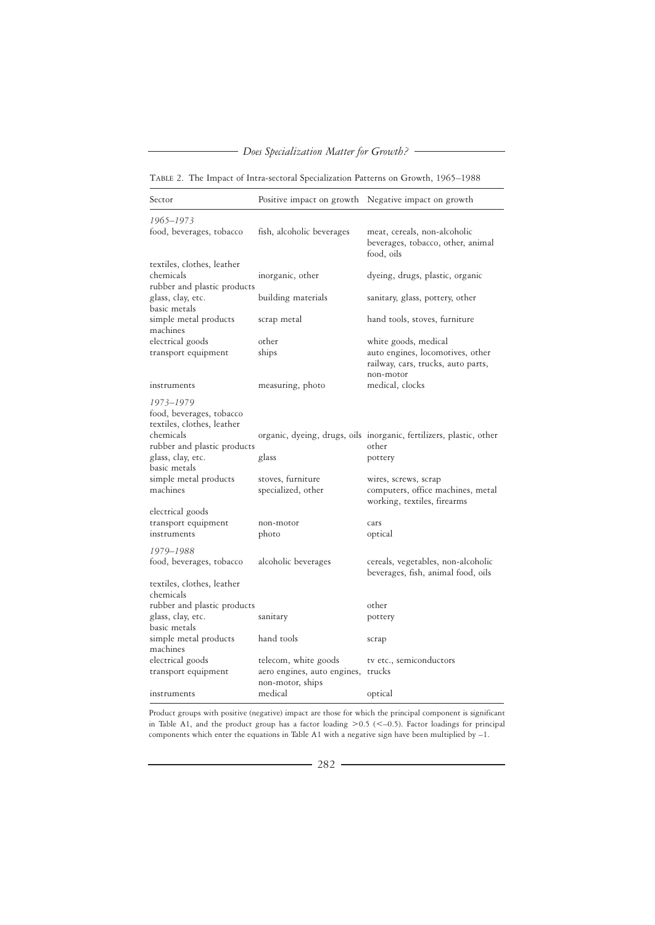| Sector                                                 |                                                            | Positive impact on growth Negative impact on growth                                      |
|--------------------------------------------------------|------------------------------------------------------------|------------------------------------------------------------------------------------------|
| 1965–1973                                              |                                                            |                                                                                          |
| food, beverages, tobacco                               | fish, alcoholic beverages                                  | meat, cereals, non-alcoholic<br>beverages, tobacco, other, animal<br>food, oils          |
| textiles, clothes, leather                             |                                                            |                                                                                          |
| chemicals                                              | inorganic, other                                           | dyeing, drugs, plastic, organic                                                          |
| rubber and plastic products                            |                                                            |                                                                                          |
| glass, clay, etc.                                      | building materials                                         | sanitary, glass, pottery, other                                                          |
| basic metals<br>simple metal products<br>machines      | scrap metal                                                | hand tools, stoves, furniture                                                            |
| electrical goods                                       | other                                                      | white goods, medical                                                                     |
| transport equipment                                    | ships                                                      | auto engines, locomotives, other                                                         |
|                                                        |                                                            | railway, cars, trucks, auto parts,<br>non-motor                                          |
| instruments                                            | measuring, photo                                           | medical, clocks                                                                          |
| 1973–1979                                              |                                                            |                                                                                          |
| food, beverages, tobacco<br>textiles, clothes, leather |                                                            |                                                                                          |
| chemicals<br>rubber and plastic products               |                                                            | organic, dyeing, drugs, oils inorganic, fertilizers, plastic, other<br>other             |
| glass, clay, etc.<br>basic metals                      | glass                                                      | pottery                                                                                  |
| simple metal products<br>machines                      | stoves, furniture<br>specialized, other                    | wires, screws, scrap<br>computers, office machines, metal<br>working, textiles, firearms |
| electrical goods                                       |                                                            |                                                                                          |
| transport equipment                                    | non-motor                                                  | cars                                                                                     |
| instruments                                            | photo                                                      | optical                                                                                  |
| 1979–1988                                              |                                                            |                                                                                          |
| food, beverages, tobacco                               | alcoholic beverages                                        | cereals, vegetables, non-alcoholic<br>beverages, fish, animal food, oils                 |
| textiles, clothes, leather<br>chemicals                |                                                            |                                                                                          |
| rubber and plastic products                            |                                                            | other                                                                                    |
| glass, clay, etc.                                      | sanitary                                                   | pottery                                                                                  |
| basic metals                                           |                                                            |                                                                                          |
| simple metal products                                  | hand tools                                                 | scrap                                                                                    |
| machines                                               |                                                            |                                                                                          |
| electrical goods<br>transport equipment                | telecom, white goods<br>aero engines, auto engines, trucks | tv etc., semiconductors                                                                  |
| instruments                                            | non-motor, ships<br>medical                                | optical                                                                                  |

Product groups with positive (negative) impact are those for which the principal component is significant in Table A1, and the product group has a factor loading >0.5 (<–0.5). Factor loadings for principal components which enter the equations in Table A1 with a negative sign have been multiplied by –1.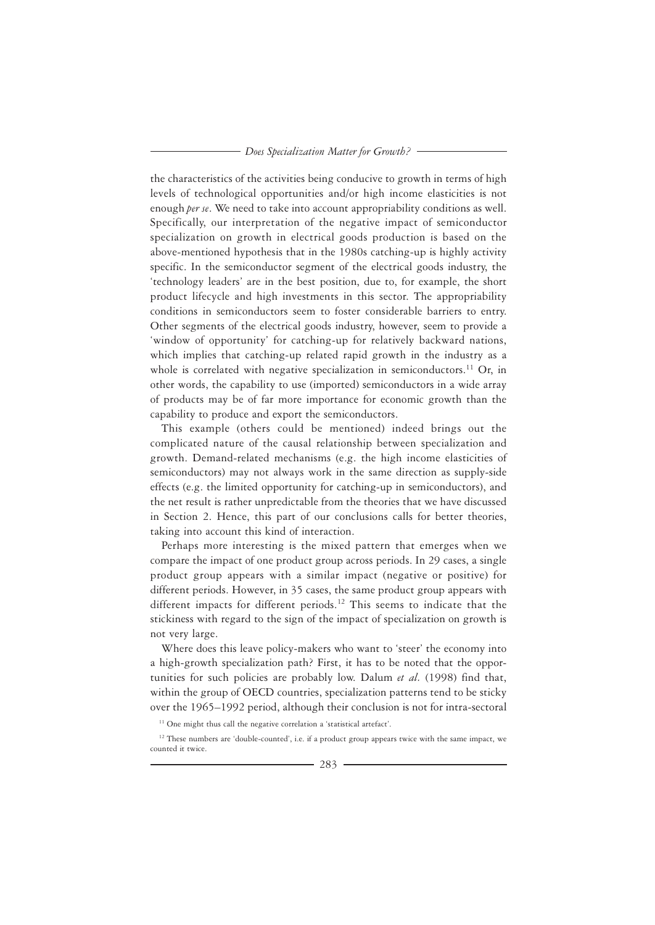the characteristics of the activities being conducive to growth in terms of high levels of technological opportunities and/or high income elasticities is not enough *per se*. We need to take into account appropriability conditions as well. Specifically, our interpretation of the negative impact of semiconductor specialization on growth in electrical goods production is based on the above-mentioned hypothesis that in the 1980s catching-up is highly activity specific. In the semiconductor segment of the electrical goods industry, the 'technology leaders' are in the best position, due to, for example, the short product lifecycle and high investments in this sector. The appropriability conditions in semiconductors seem to foster considerable barriers to entry. Other segments of the electrical goods industry, however, seem to provide a 'window of opportunity' for catching-up for relatively backward nations, which implies that catching-up related rapid growth in the industry as a whole is correlated with negative specialization in semiconductors.<sup>11</sup> Or, in other words, the capability to use (imported) semiconductors in a wide array of products may be of far more importance for economic growth than the capability to produce and export the semiconductors.

This example (others could be mentioned) indeed brings out the complicated nature of the causal relationship between specialization and growth. Demand-related mechanisms (e.g. the high income elasticities of semiconductors) may not always work in the same direction as supply-side effects (e.g. the limited opportunity for catching-up in semiconductors), and the net result is rather unpredictable from the theories that we have discussed in Section 2. Hence, this part of our conclusions calls for better theories, taking into account this kind of interaction.

Perhaps more interesting is the mixed pattern that emerges when we compare the impact of one product group across periods. In 29 cases, a single product group appears with a similar impact (negative or positive) for different periods. However, in 35 cases, the same product group appears with different impacts for different periods.<sup>12</sup> This seems to indicate that the stickiness with regard to the sign of the impact of specialization on growth is not very large.

Where does this leave policy-makers who want to 'steer' the economy into a high-growth specialization path? First, it has to be noted that the opportunities for such policies are probably low. Dalum *et al.* (1998) find that, within the group of OECD countries, specialization patterns tend to be sticky over the 1965–1992 period, although their conclusion is not for intra-sectoral

<sup>11</sup> One might thus call the negative correlation a 'statistical artefact'.

 $12$  These numbers are 'double-counted', i.e. if a product group appears twice with the same impact, we counted it twice.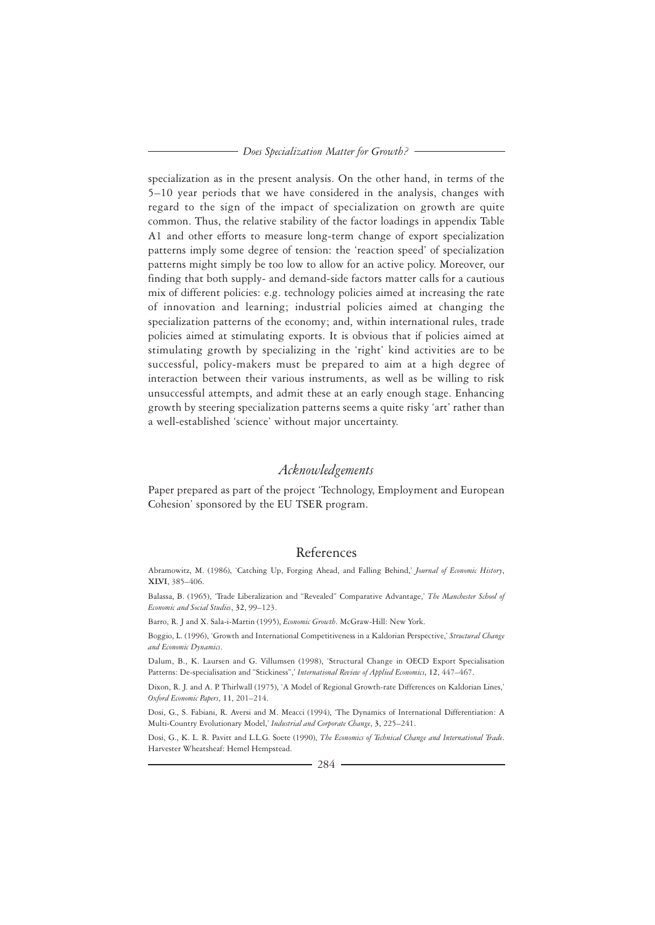specialization as in the present analysis. On the other hand, in terms of the 5–10 year periods that we have considered in the analysis, changes with regard to the sign of the impact of specialization on growth are quite common. Thus, the relative stability of the factor loadings in appendix Table A1 and other efforts to measure long-term change of export specialization patterns imply some degree of tension: the 'reaction speed' of specialization patterns might simply be too low to allow for an active policy. Moreover, our finding that both supply- and demand-side factors matter calls for a cautious mix of different policies: e.g. technology policies aimed at increasing the rate of innovation and learning; industrial policies aimed at changing the specialization patterns of the economy; and, within international rules, trade policies aimed at stimulating exports. It is obvious that if policies aimed at stimulating growth by specializing in the 'right' kind activities are to be successful, policy-makers must be prepared to aim at a high degree of interaction between their various instruments, as well as be willing to risk unsuccessful attempts, and admit these at an early enough stage. Enhancing growth by steering specialization patterns seems a quite risky 'art' rather than a well-established 'science' without major uncertainty.

### *Acknowledgements*

Paper prepared as part of the project 'Technology, Employment and European Cohesion' sponsored by the EU TSER program.

#### References

Abramowitz, M. (1986), 'Catching Up, Forging Ahead, and Falling Behind,' *Journal of Economic History*, **XLVI**, 385–406.

Balassa, B. (1965), 'Trade Liberalization and "Revealed" Comparative Advantage,' *The Manchester School of Economic and Social Studies*, **32**, 99–123.

Barro, R. J and X. Sala-i-Martin (1995), *Economic Growth*. McGraw-Hill: New York.

Boggio, L. (1996), 'Growth and International Competitiveness in a Kaldorian Perspective,' *Structural Change and Economic Dynamics*.

Dalum, B., K. Laursen and G. Villumsen (1998), 'Structural Change in OECD Export Specialisation Patterns: De-specialisation and "Stickiness",' *International Review of Applied Economics*, **12**, 447–467.

Dixon, R. J. and A. P. Thirlwall (1975), 'A Model of Regional Growth-rate Differences on Kaldorian Lines,' *Oxford Economic Papers*, **11**, 201–214.

Dosi, G., S. Fabiani, R. Aversi and M. Meacci (1994), 'The Dynamics of International Differentiation: A Multi-Country Evolutionary Model,' *Industrial and Corporate Change*, **3**, 225–241.

Dosi, G., K. L. R. Pavitt and L.L.G. Soete (1990), *The Economics of Technical Change and International Trade*. Harvester Wheatsheaf: Hemel Hempstead.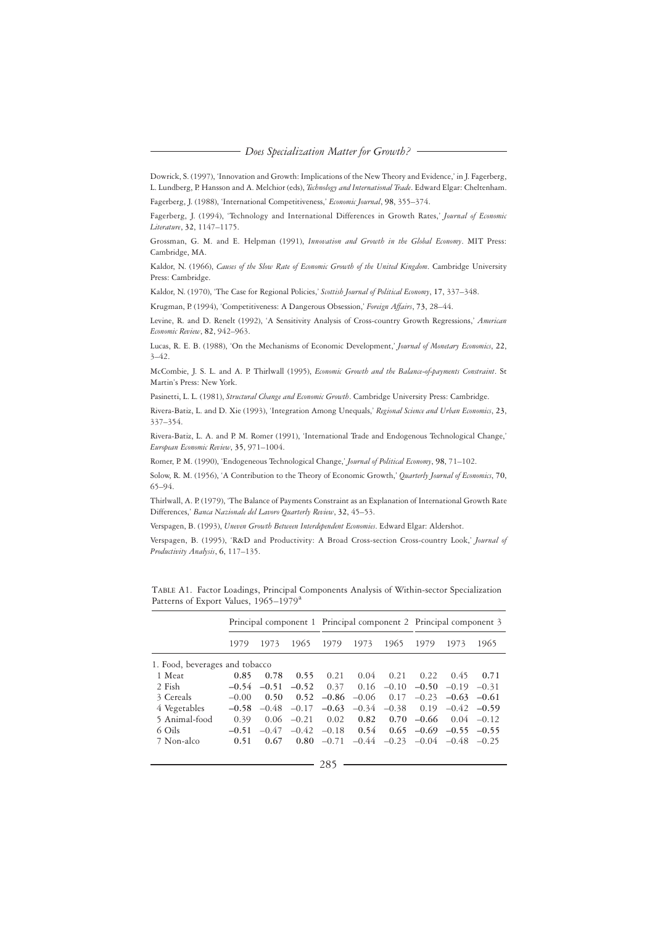Dowrick, S. (1997), 'Innovation and Growth: Implications of the New Theory and Evidence,' in J. Fagerberg, L. Lundberg, P. Hansson and A. Melchior (eds), *Technology and International Trade*. Edward Elgar: Cheltenham.

Fagerberg, J. (1988), 'International Competitiveness,' *Economic Journal*, **98**, 355–374.

Fagerberg, J. (1994), 'Technology and International Differences in Growth Rates,' *Journal of Economic Literature*, **32**, 1147–1175.

Grossman, G. M. and E. Helpman (1991), *Innovation and Growth in the Global Economy*. MIT Press: Cambridge, MA.

Kaldor, N. (1966), *Causes of the Slow Rate of Economic Growth of the United Kingdom*. Cambridge University Press: Cambridge.

Kaldor, N. (1970), 'The Case for Regional Policies,' *Scottish Journal of Political Economy*, **17**, 337–348.

Krugman, P. (1994), 'Competitiveness: A Dangerous Obsession,' *Foreign Affairs*, **73**, 28–44.

Levine, R. and D. Renelt (1992), 'A Sensitivity Analysis of Cross-country Growth Regressions,' *American Economic Review*, **82**, 942–963.

Lucas, R. E. B. (1988), 'On the Mechanisms of Economic Development,' *Journal of Monetary Economics*, **22**, 3–42.

McCombie, J. S. L. and A. P. Thirlwall (1995), *Economic Growth and the Balance-of-payments Constraint*. St Martin's Press: New York.

Pasinetti, L. L. (1981), *Structural Change and Economic Growth*. Cambridge University Press: Cambridge.

Rivera-Batiz, L. and D. Xie (1993), 'Integration Among Unequals,' *Regional Science and Urban Economics*, **23**, 337–354.

Rivera-Batiz, L. A. and P. M. Romer (1991), 'International Trade and Endogenous Technological Change,' *European Economic Review*, **35**, 971–1004.

Romer, P. M. (1990), 'Endogeneous Technological Change,' *Journal of Political Economy*, **98**, 71–102.

Solow, R. M. (1956), 'A Contribution to the Theory of Economic Growth,' *Quarterly Journal of Economics*, **70**, 65–94.

Thirlwall, A. P. (1979), 'The Balance of Payments Constraint as an Explanation of International Growth Rate Differences,' *Banca Nazionale del Lavoro Quarterly Review*, **32**, 45–53.

Verspagen, B. (1993), *Uneven Growth Between Interdependent Economies*. Edward Elgar: Aldershot.

Verspagen, B. (1995), 'R&D and Productivity: A Broad Cross-section Cross-country Look,' *Journal of Productivity Analysis*, **6**, 117–135.

|                                | Principal component 1 Principal component 2 Principal component 3 |         |         |         |         |                         |              |         |         |
|--------------------------------|-------------------------------------------------------------------|---------|---------|---------|---------|-------------------------|--------------|---------|---------|
|                                | 1979                                                              | 1973    | 1965    | 1979    | 1973    | 1965                    | 1979         | 1973    | 1965    |
| 1. Food, beverages and tobacco |                                                                   |         |         |         |         |                         |              |         |         |
| 1 Meat                         | 0.85                                                              | 0.78    | 0.55    | 0.21    | 0.04    | 0.21                    | 0.22         | 0.45    | 0.71    |
| 2 Fish                         | $-0.54$                                                           | $-0.51$ | $-0.52$ | 0.37    | 0.16    | $-0.10$                 | $-0.50$      | $-0.19$ | $-0.31$ |
| 3 Cereals                      | $-0.00$                                                           | 0.50    | 0.52    | $-0.86$ | $-0.06$ | 0.17                    | $-0.23$      | $-0.63$ | $-0.61$ |
| 4 Vegetables                   | $-0.58$                                                           | $-0.48$ | $-0.17$ | $-0.63$ | $-0.34$ | $-0.38$                 | 0.19         | $-0.42$ | $-0.59$ |
| 5 Animal-food                  | 0.39                                                              | 0.06    | $-0.21$ | 0.02    | 0.82    | 0.70                    | $-0.66$      | 0.04    | $-0.12$ |
| 6 Oils                         | $-0.51$                                                           | $-0.47$ | $-0.42$ | $-0.18$ | 0.54    |                         | $0.65 -0.69$ | $-0.55$ | $-0.55$ |
| 7 Non-alco                     | 0.51                                                              | 0.67    | 0.80    | $-0.71$ | $-0.44$ | $-0.23$ $-0.04$ $-0.48$ |              |         | $-0.25$ |

TABLE A1. Factor Loadings, Principal Components Analysis of Within-sector Specialization Patterns of Export Values, 1965–1979<sup>a</sup>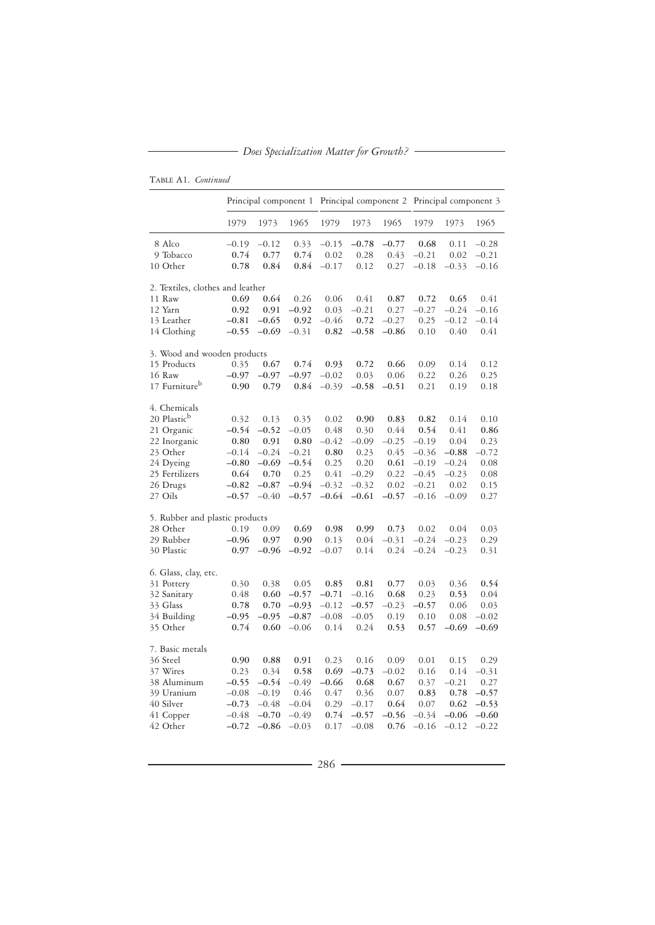|                                  |         |         | Principal component 1 |         |         | Principal component 2 Principal component 3 |         |         |         |
|----------------------------------|---------|---------|-----------------------|---------|---------|---------------------------------------------|---------|---------|---------|
|                                  | 1979    | 1973    | 1965                  | 1979    | 1973    | 1965                                        | 1979    | 1973    | 1965    |
| 8 Alco                           | $-0.19$ | $-0.12$ | 0.33                  | $-0.15$ | $-0.78$ | $-0.77$                                     | 0.68    | 0.11    | $-0.28$ |
| 9 Tobacco                        | 0.74    | 0.77    | 0.74                  | 0.02    | 0.28    | 0.43                                        | $-0.21$ | 0.02    | $-0.21$ |
| 10 Other                         | 0.78    | 0.84    | 0.84                  | $-0.17$ | 0.12    | 0.27                                        | $-0.18$ | $-0.33$ | $-0.16$ |
| 2. Textiles, clothes and leather |         |         |                       |         |         |                                             |         |         |         |
| 11 Raw                           | 0.69    | 0.64    | 0.26                  | 0.06    | 0.41    | 0.87                                        | 0.72    | 0.65    | 0.41    |
| 12 Yarn                          | 0.92    | 0.91    | $-0.92$               | 0.03    | $-0.21$ | 0.27                                        | $-0.27$ | $-0.24$ | $-0.16$ |
| 13 Leather                       | $-0.81$ | $-0.65$ | 0.92                  | $-0.46$ | 0.72    | $-0.27$                                     | 0.25    | $-0.12$ | $-0.14$ |
| 14 Clothing                      | $-0.55$ | $-0.69$ | $-0.31$               | 0.82    | $-0.58$ | $-0.86$                                     | 0.10    | 0.40    | 0.41    |
| 3. Wood and wooden products      |         |         |                       |         |         |                                             |         |         |         |
| 15 Products                      | 0.35    | 0.67    | 0.74                  | 0.93    | 0.72    | 0.66                                        | 0.09    | 0.14    | 0.12    |
| 16 Raw                           | $-0.97$ |         |                       | $-0.02$ |         |                                             |         | 0.26    |         |
|                                  |         | $-0.97$ | $-0.97$               |         | 0.03    | 0.06                                        | 0.22    |         | 0.25    |
| 17 Furniture <sup>b</sup>        | 0.90    | 0.79    | 0.84                  | $-0.39$ | $-0.58$ | $-0.51$                                     | 0.21    | 0.19    | 0.18    |
| 4. Chemicals                     |         |         |                       |         |         |                                             |         |         |         |
| 20 Plastic <sup>b</sup>          | 0.32    | 0.13    | 0.35                  | 0.02    | 0.90    | 0.83                                        | 0.82    | 0.14    | 0.10    |
| 21 Organic                       | $-0.54$ | $-0.52$ | $-0.05$               | 0.48    | 0.30    | 0.44                                        | 0.54    | 0.41    | 0.86    |
| 22 Inorganic                     | 0.80    | 0.91    | 0.80                  | $-0.42$ | $-0.09$ | $-0.25$                                     | $-0.19$ | 0.04    | 0.23    |
| 23 Other                         | $-0.14$ | $-0.24$ | $-0.21$               | 0.80    | 0.23    | 0.45                                        | $-0.36$ | $-0.88$ | $-0.72$ |
| 24 Dyeing                        | $-0.80$ | $-0.69$ | $-0.54$               | 0.25    | 0.20    | 0.61                                        | $-0.19$ | $-0.24$ | 0.08    |
| 25 Fertilizers                   | 0.64    | 0.70    | 0.25                  | 0.41    | $-0.29$ | 0.22                                        | $-0.45$ | $-0.23$ | 0.08    |
| 26 Drugs                         | $-0.82$ | $-0.87$ | $-0.94$               | $-0.32$ | $-0.32$ | 0.02                                        | $-0.21$ | 0.02    | 0.15    |
| 27 Oils                          | $-0.57$ | $-0.40$ | $-0.57$               | $-0.64$ | $-0.61$ | $-0.57$                                     | $-0.16$ | $-0.09$ | 0.27    |
|                                  |         |         |                       |         |         |                                             |         |         |         |
| 5. Rubber and plastic products   |         |         |                       |         |         |                                             |         |         |         |
| 28 Other                         | 0.19    | 0.09    | 0.69                  | 0.98    | 0.99    | 0.73                                        | 0.02    | 0.04    | 0.03    |
| 29 Rubber                        | $-0.96$ | 0.97    | 0.90                  | 0.13    | 0.04    | $-0.31$                                     | $-0.24$ | $-0.23$ | 0.29    |
| 30 Plastic                       | 0.97    | $-0.96$ | $-0.92$               | $-0.07$ | 0.14    | 0.24                                        | $-0.24$ | $-0.23$ | 0.31    |
| 6. Glass, clay, etc.             |         |         |                       |         |         |                                             |         |         |         |
| 31 Pottery                       | 0.30    | 0.38    | 0.05                  | 0.85    | 0.81    | 0.77                                        | 0.03    | 0.36    | 0.54    |
| 32 Sanitary                      | 0.48    | 0.60    | $-0.57$               | $-0.71$ | $-0.16$ | 0.68                                        | 0.23    | 0.53    | 0.04    |
| 33 Glass                         | 0.78    | 0.70    | $-0.93$               | $-0.12$ | $-0.57$ | $-0.23$                                     | $-0.57$ | 0.06    | 0.03    |
| 34 Building                      | $-0.95$ | $-0.95$ | $-0.87$               | $-0.08$ | $-0.05$ | 0.19                                        | 0.10    | 0.08    | $-0.02$ |
| 35 Other                         | 0.74    | 0.60    | $-0.06$               | 0.14    | 0.24    | 0.53                                        | 0.57    | $-0.69$ | $-0.69$ |
| 7. Basic metals                  |         |         |                       |         |         |                                             |         |         |         |
| 36 Steel                         | 0.90    | 0.88    | 0.91                  | 0.23    | 0.16    | 0.09                                        | 0.01    | 0.15    | 0.29    |
| 37 Wires                         | 0.23    | 0.34    | 0.58                  | 0.69    | $-0.73$ | $-0.02$                                     | 0.16    | 0.14    | $-0.31$ |
| 38 Aluminum                      | $-0.55$ | $-0.54$ | $-0.49$               | $-0.66$ | 0.68    | 0.67                                        | 0.37    | $-0.21$ | 0.27    |
| 39 Uranium                       | $-0.08$ | $-0.19$ | 0.46                  | 0.47    | 0.36    | 0.07                                        | 0.83    | 0.78    | $-0.57$ |
| 40 Silver                        | $-0.73$ | $-0.48$ | $-0.04$               | 0.29    | $-0.17$ | 0.64                                        | 0.07    | 0.62    | $-0.53$ |
|                                  | $-0.48$ | $-0.70$ | $-0.49$               | 0.74    | $-0.57$ | $-0.56$                                     | $-0.34$ | $-0.06$ | $-0.60$ |
| 41 Copper<br>42 Other            | $-0.72$ | $-0.86$ | $-0.03$               | 0.17    | $-0.08$ | 0.76                                        | $-0.16$ | $-0.12$ | $-0.22$ |
|                                  |         |         |                       |         |         |                                             |         |         |         |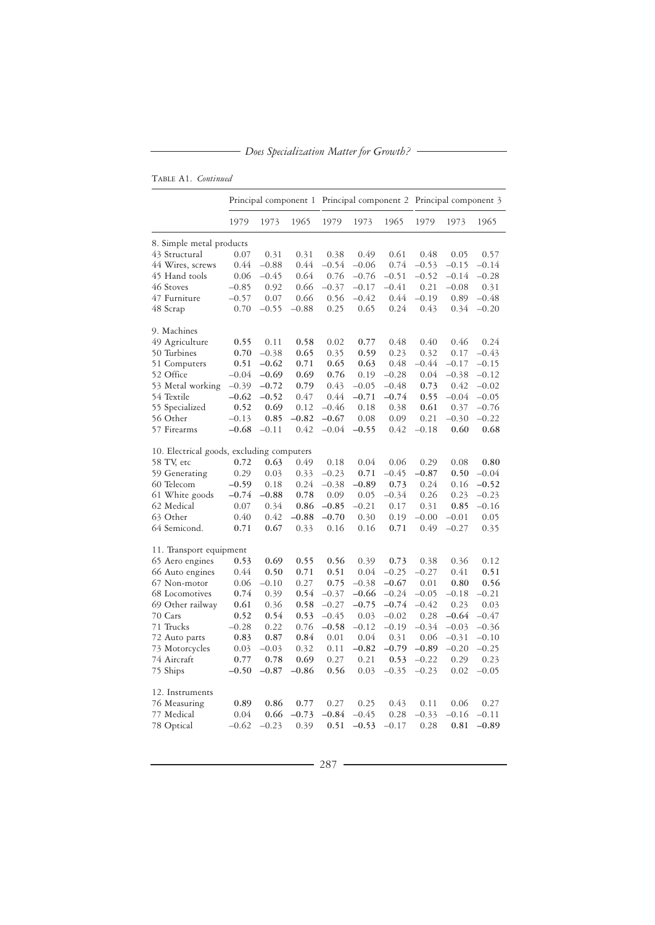|                                            |              |                 |              |                 |                 | Principal component 1 Principal component 2 Principal component 3 |                    |                 |                 |
|--------------------------------------------|--------------|-----------------|--------------|-----------------|-----------------|-------------------------------------------------------------------|--------------------|-----------------|-----------------|
|                                            | 1979         | 1973            | 1965         | 1979            | 1973            | 1965                                                              | 1979               | 1973            | 1965            |
| 8. Simple metal products                   |              |                 |              |                 |                 |                                                                   |                    |                 |                 |
| 43 Structural                              | 0.07         | 0.31            | 0.31         | 0.38            | 0.49            | 0.61                                                              | 0.48               | 0.05            | 0.57            |
| 44 Wires, screws                           | 0.44         | $-0.88$         | 0.44         | $-0.54$         | $-0.06$         | 0.74                                                              | $-0.53$            | $-0.15$         | $-0.14$         |
| 45 Hand tools                              | 0.06         | $-0.45$         | 0.64         | 0.76            | $-0.76$         | $-0.51$                                                           | $-0.52$            | $-0.14$         | $-0.28$         |
| 46 Stoves                                  | $-0.85$      | 0.92            | 0.66         | $-0.37$         | $-0.17$         | $-0.41$                                                           | 0.21               | $-0.08$         | 0.31            |
| 47 Furniture                               | $-0.57$      | 0.07            | 0.66         | 0.56            | $-0.42$         | 0.44                                                              | $-0.19$            | 0.89            | $-0.48$         |
| 48 Scrap                                   | 0.70         | $-0.55$         | $-0.88$      | 0.25            | 0.65            | 0.24                                                              | 0.43               | 0.34            | $-0.20$         |
| 9. Machines                                |              |                 |              |                 |                 |                                                                   |                    |                 |                 |
| 49 Agriculture                             | 0.55         | 0.11            | 0.58         | 0.02            | 0.77            | 0.48                                                              | 0.40               | 0.46            | 0.24            |
| 50 Turbines                                | 0.70         | $-0.38$         | 0.65         | 0.35            | 0.59            | 0.23                                                              | 0.32               | 0.17            | $-0.43$         |
| 51 Computers                               | 0.51         | $-0.62$         | 0.71         | 0.65            | 0.63            | 0.48                                                              | $-0.44$            | $-0.17$         | $-0.15$         |
| 52 Office                                  | $-0.04$      | $-0.69$         | 0.69         | 0.76            | 0.19            | $-0.28$                                                           | 0.04               | $-0.38$         | $-0.12$         |
| 53 Metal working                           | $-0.39$      | $-0.72$         | 0.79         | 0.43            | $-0.05$         | $-0.48$                                                           | 0.73               | 0.42            | $-0.02$         |
| 54 Textile                                 | $-0.62$      | $-0.52$         | 0.47         | 0.44            | $-0.71$         | $-0.74$                                                           | 0.55               | $-0.04$         | $-0.05$         |
| 55 Specialized                             | 0.52         | 0.69            | 0.12         | $-0.46$         | 0.18            | 0.38                                                              | 0.61               | 0.37            | $-0.76$         |
| 56 Other                                   | $-0.13$      | 0.85            | $-0.82$      | $-0.67$         | 0.08            | 0.09                                                              | 0.21               | $-0.30$         | $-0.22$         |
| 57 Firearms                                | $-0.68$      | $-0.11$         | 0.42         | $-0.04$         | $-0.55$         | 0.42                                                              | $-0.18$            | 0.60            | 0.68            |
| 10. Electrical goods, excluding computers  |              |                 |              |                 |                 |                                                                   |                    |                 |                 |
| 58 TV, etc                                 | 0.72         | 0.63            | 0.49         | 0.18            | 0.04            | 0.06                                                              | 0.29               | 0.08            | 0.80            |
| 59 Generating                              | 0.29         | 0.03            | 0.33         | $-0.23$         | 0.71            | $-0.45$                                                           | $-0.87$            | 0.50            | $-0.04$         |
| 60 Telecom                                 | $-0.59$      | 0.18            | 0.24         | $-0.38$         | $-0.89$         | 0.73                                                              | 0.24               | 0.16            | $-0.52$         |
| 61 White goods                             | $-0.74$      | $-0.88$         | 0.78         | 0.09            | 0.05            | $-0.34$                                                           | 0.26               | 0.23            | $-0.23$         |
| 62 Medical                                 | 0.07         | 0.34            | 0.86         | $-0.85$         | $-0.21$         | 0.17                                                              | 0.31               | 0.85            | $-0.16$         |
| 63 Other                                   | 0.40         | 0.42            | $-0.88$      | $-0.70$         | 0.30            | 0.19                                                              | $-0.00$            | $-0.01$         | 0.05            |
| 64 Semicond.                               | 0.71         | 0.67            | 0.33         | 0.16            | 0.16            | 0.71                                                              | 0.49               | $-0.27$         | 0.35            |
|                                            |              |                 |              |                 |                 |                                                                   |                    |                 |                 |
| 11. Transport equipment<br>65 Aero engines | 0.53         | 0.69            | 0.55         | 0.56            | 0.39            | 0.73                                                              | 0.38               | 0.36            | 0.12            |
| 66 Auto engines                            | 0.44         | 0.50            | 0.71         | 0.51            | 0.04            | $-0.25$                                                           | $-0.27$            | 0.41            | 0.51            |
| 67 Non-motor                               | 0.06         | $-0.10$         | 0.27         | 0.75            | $-0.38$         | $-0.67$                                                           | 0.01               | 0.80            | 0.56            |
| 68 Locomotives                             | 0.74         | 0.39            | 0.54         | $-0.37$         | $-0.66$         | $-0.24$                                                           | $-0.05$            | $-0.18$         | $-0.21$         |
| 69 Other railway                           | 0.61         | 0.36            | 0.58         | $-0.27$         | $-0.75$         | $-0.74$                                                           | $-0.42$            | 0.23            | 0.03            |
| 70 Cars                                    | 0.52         | 0.54            | 0.53         | $-0.45$         | 0.03            | $-0.02$                                                           | 0.28               | $-0.64$         | $-0.47$         |
| 71 Trucks                                  |              | 0.22            | 0.76         |                 |                 |                                                                   | $-0.34$            |                 |                 |
|                                            | $-0.28$      |                 | 0.84         | $-0.58$<br>0.01 | $-0.12$         | $-0.19$                                                           | 0.06               | $-0.03$         | $-0.36$         |
| 72 Auto parts                              | 0.83         | 0.87            |              |                 | 0.04            | 0.31                                                              |                    | $-0.31$         | $-0.10$         |
| 73 Motorcycles<br>74 Aircraft              | 0.03<br>0.77 | $-0.03$<br>0.78 | 0.32<br>0.69 | 0.11<br>0.27    | $-0.82$<br>0.21 | $-0.79$<br>0.53                                                   | $-0.89$<br>$-0.22$ | $-0.20$<br>0.29 | $-0.25$<br>0.23 |
|                                            |              |                 |              |                 |                 |                                                                   |                    |                 |                 |
| 75 Ships                                   | $-0.50$      | $-0.87$         | $-0.86$      | 0.56            | 0.03            | $-0.35$                                                           | $-0.23$            | 0.02            | $-0.05$         |
| 12. Instruments                            |              |                 |              |                 |                 |                                                                   |                    |                 |                 |
| 76 Measuring                               | 0.89         | 0.86            | 0.77         | 0.27            | 0.25            | 0.43                                                              | 0.11               | 0.06            | 0.27            |
| 77 Medical                                 | 0.04         | 0.66            | $-0.73$      | $-0.84$         | $-0.45$         | 0.28                                                              | $-0.33$            | $-0.16$         | $-0.11$         |
| 78 Optical                                 | $-0.62$      | $-0.23$         | 0.39         | 0.51            | $-0.53$         | $-0.17$                                                           | 0.28               | 0.81            | $-0.89$         |

TABLE A1. *Continued*